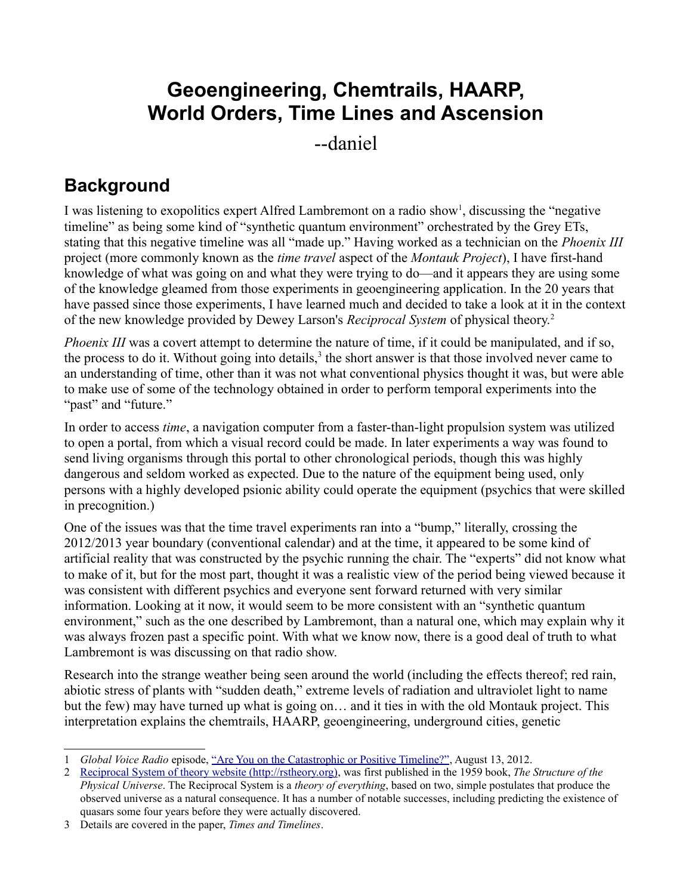# **Geoengineering, Chemtrails, HAARP, World Orders, Time Lines and Ascension**

--daniel

## **Background**

I was listening to exopolitics expert Alfred Lambremont on a radio show<sup>[1](#page-0-0)</sup>, discussing the "negative timeline" as being some kind of "synthetic quantum environment" orchestrated by the Grey ETs, stating that this negative timeline was all "made up." Having worked as a technician on the *Phoenix III* project (more commonly known as the *time travel* aspect of the *Montauk Project*), I have first-hand knowledge of what was going on and what they were trying to do—and it appears they are using some of the knowledge gleamed from those experiments in geoengineering application. In the 20 years that have passed since those experiments, I have learned much and decided to take a look at it in the context of the new knowledge provided by Dewey Larson's *Reciprocal System* of physical theory.[2](#page-0-1)

*Phoenix III* was a covert attempt to determine the nature of time, if it could be manipulated, and if so, the process to do it. Without going into details,<sup>[3](#page-0-2)</sup> the short answer is that those involved never came to an understanding of time, other than it was not what conventional physics thought it was, but were able to make use of some of the technology obtained in order to perform temporal experiments into the "past" and "future."

In order to access *time*, a navigation computer from a faster-than-light propulsion system was utilized to open a portal, from which a visual record could be made. In later experiments a way was found to send living organisms through this portal to other chronological periods, though this was highly dangerous and seldom worked as expected. Due to the nature of the equipment being used, only persons with a highly developed psionic ability could operate the equipment (psychics that were skilled in precognition.)

One of the issues was that the time travel experiments ran into a "bump," literally, crossing the 2012/2013 year boundary (conventional calendar) and at the time, it appeared to be some kind of artificial reality that was constructed by the psychic running the chair. The "experts" did not know what to make of it, but for the most part, thought it was a realistic view of the period being viewed because it was consistent with different psychics and everyone sent forward returned with very similar information. Looking at it now, it would seem to be more consistent with an "synthetic quantum environment," such as the one described by Lambremont, than a natural one, which may explain why it was always frozen past a specific point. With what we know now, there is a good deal of truth to what Lambremont is was discussing on that radio show.

Research into the strange weather being seen around the world (including the effects thereof; red rain, abiotic stress of plants with "sudden death," extreme levels of radiation and ultraviolet light to name but the few) may have turned up what is going on… and it ties in with the old Montauk project. This interpretation explains the chemtrails, HAARP, geoengineering, underground cities, genetic

<span id="page-0-0"></span><sup>1</sup> *Global Voice Radio* episode, ["Are You on the Catastrophic or Positive Timeline?",](http://www.blogtalkradio.com/global-voice-2012-radio-network/2012/08/14/are-you-on-the-catastrophic-or-positive-timeline) August 13, 2012.

<span id="page-0-1"></span><sup>2</sup> [Reciprocal System of theory website \(http://rstheory.org\),](http://rstheory.org/) was first published in the 1959 book, *The Structure of the Physical Universe*. The Reciprocal System is a *theory of everything*, based on two, simple postulates that produce the observed universe as a natural consequence. It has a number of notable successes, including predicting the existence of quasars some four years before they were actually discovered.

<span id="page-0-2"></span><sup>3</sup> Details are covered in the paper, *Times and Timelines*.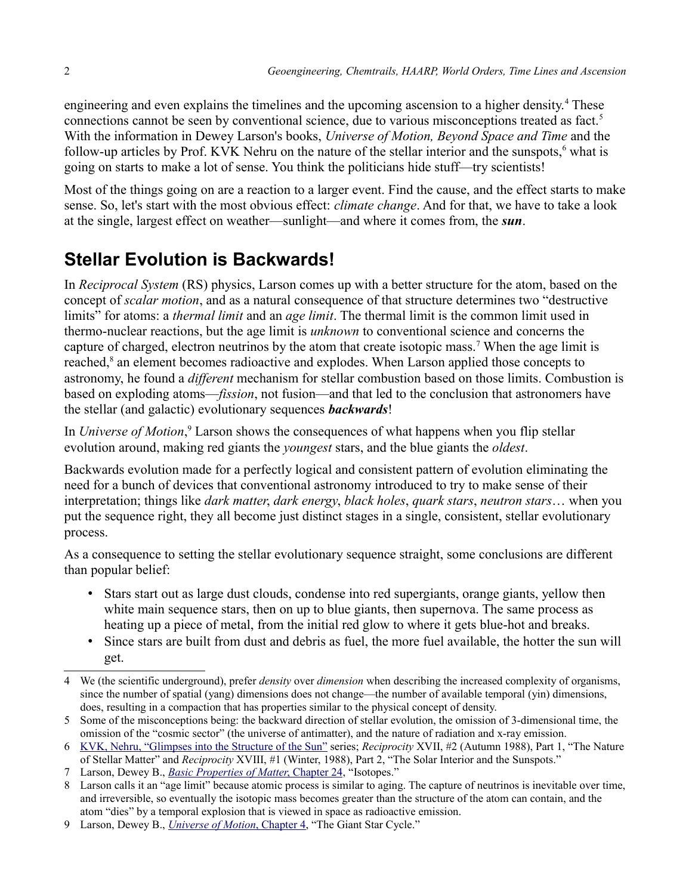engineering and even explains the timelines and the upcoming ascension to a higher density.<sup>[4](#page-1-0)</sup> These connections cannot be seen by conventional science, due to various misconceptions treated as fact.<sup>[5](#page-1-1)</sup> With the information in Dewey Larson's books, *Universe of Motion, Beyond Space and Time* and the follow-up articles by Prof. KVK Nehru on the nature of the stellar interior and the sunspots,<sup>[6](#page-1-2)</sup> what is going on starts to make a lot of sense. You think the politicians hide stuff—try scientists!

Most of the things going on are a reaction to a larger event. Find the cause, and the effect starts to make sense. So, let's start with the most obvious effect: *climate change*. And for that, we have to take a look at the single, largest effect on weather—sunlight—and where it comes from, the *sun*.

## **Stellar Evolution is Backwards!**

In *Reciprocal System* (RS) physics, Larson comes up with a better structure for the atom, based on the concept of *scalar motion*, and as a natural consequence of that structure determines two "destructive limits" for atoms: a *thermal limit* and an *age limit*. The thermal limit is the common limit used in thermo-nuclear reactions, but the age limit is *unknown* to conventional science and concerns the capture of charged, electron neutrinos by the atom that create isotopic mass.<sup>[7](#page-1-3)</sup> When the age limit is reached,<sup>[8](#page-1-4)</sup> an element becomes radioactive and explodes. When Larson applied those concepts to astronomy, he found a *different* mechanism for stellar combustion based on those limits. Combustion is based on exploding atoms—*fission*, not fusion—and that led to the conclusion that astronomers have the stellar (and galactic) evolutionary sequences *backwards*!

In *Universe of Motion*,<sup>[9](#page-1-5)</sup> Larson shows the consequences of what happens when you flip stellar evolution around, making red giants the *youngest* stars, and the blue giants the *oldest*.

Backwards evolution made for a perfectly logical and consistent pattern of evolution eliminating the need for a bunch of devices that conventional astronomy introduced to try to make sense of their interpretation; things like *dark matter*, *dark energy*, *black holes*, *quark stars*, *neutron stars*… when you put the sequence right, they all become just distinct stages in a single, consistent, stellar evolutionary process.

As a consequence to setting the stellar evolutionary sequence straight, some conclusions are different than popular belief:

- Stars start out as large dust clouds, condense into red supergiants, orange giants, yellow then white main sequence stars, then on up to blue giants, then supernova. The same process as heating up a piece of metal, from the initial red glow to where it gets blue-hot and breaks.
- Since stars are built from dust and debris as fuel, the more fuel available, the hotter the sun will get.

- <span id="page-1-1"></span>5 Some of the misconceptions being: the backward direction of stellar evolution, the omission of 3-dimensional time, the omission of the "cosmic sector" (the universe of antimatter), and the nature of radiation and x-ray emission.
- <span id="page-1-2"></span>6 [KVK, Nehru, "Glimpses into the Structure of the Sun"](http://reciprocalsystem.org/PDFa/Glimpses%20into%20the%20Structure%20of%20the%20Sun%20(KVK,%20Nehru).pdf) series; *Reciprocity* XVII, #2 (Autumn 1988), Part 1, "The Nature of Stellar Matter" and *Reciprocity* XVIII, #1 (Winter, 1988), Part 2, "The Solar Interior and the Sunspots."
- <span id="page-1-3"></span>7 Larson, Dewey B., *[Basic Properties of Matter](http://library.rstheory.org/)* [, Chapter 24,](http://library.rstheory.org/) "Isotopes."

<span id="page-1-5"></span>9 Larson, Dewey B., *[Universe of Motion](http://library.rstheory.org/books/uom/04.html)* [, Chapter 4,](http://library.rstheory.org/books/uom/04.html) "The Giant Star Cycle."

<span id="page-1-0"></span><sup>4</sup> We (the scientific underground), prefer *density* over *dimension* when describing the increased complexity of organisms, since the number of spatial (yang) dimensions does not change—the number of available temporal (yin) dimensions, does, resulting in a compaction that has properties similar to the physical concept of density.

<span id="page-1-4"></span><sup>8</sup> Larson calls it an "age limit" because atomic process is similar to aging. The capture of neutrinos is inevitable over time, and irreversible, so eventually the isotopic mass becomes greater than the structure of the atom can contain, and the atom "dies" by a temporal explosion that is viewed in space as radioactive emission.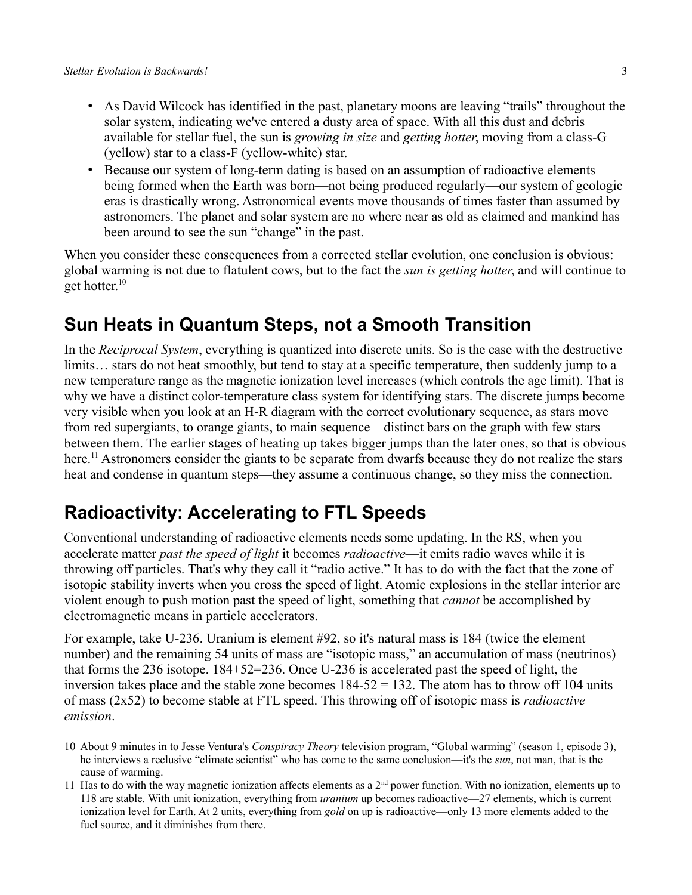- As David Wilcock has identified in the past, planetary moons are leaving "trails" throughout the solar system, indicating we've entered a dusty area of space. With all this dust and debris available for stellar fuel, the sun is *growing in size* and *getting hotter*, moving from a class-G (yellow) star to a class-F (yellow-white) star.
- Because our system of long-term dating is based on an assumption of radioactive elements being formed when the Earth was born—not being produced regularly—our system of geologic eras is drastically wrong. Astronomical events move thousands of times faster than assumed by astronomers. The planet and solar system are no where near as old as claimed and mankind has been around to see the sun "change" in the past.

When you consider these consequences from a corrected stellar evolution, one conclusion is obvious: global warming is not due to flatulent cows, but to the fact the *sun is getting hotter*, and will continue to get hotter.[10](#page-2-0)

#### **Sun Heats in Quantum Steps, not a Smooth Transition**

In the *Reciprocal System*, everything is quantized into discrete units. So is the case with the destructive limits… stars do not heat smoothly, but tend to stay at a specific temperature, then suddenly jump to a new temperature range as the magnetic ionization level increases (which controls the age limit). That is why we have a distinct color-temperature class system for identifying stars. The discrete jumps become very visible when you look at an H-R diagram with the correct evolutionary sequence, as stars move from red supergiants, to orange giants, to main sequence—distinct bars on the graph with few stars between them. The earlier stages of heating up takes bigger jumps than the later ones, so that is obvious here.<sup>[11](#page-2-1)</sup> Astronomers consider the giants to be separate from dwarfs because they do not realize the stars heat and condense in quantum steps—they assume a continuous change, so they miss the connection.

#### **Radioactivity: Accelerating to FTL Speeds**

Conventional understanding of radioactive elements needs some updating. In the RS, when you accelerate matter *past the speed of light* it becomes *radioactive*—it emits radio waves while it is throwing off particles. That's why they call it "radio active." It has to do with the fact that the zone of isotopic stability inverts when you cross the speed of light. Atomic explosions in the stellar interior are violent enough to push motion past the speed of light, something that *cannot* be accomplished by electromagnetic means in particle accelerators.

For example, take U-236. Uranium is element #92, so it's natural mass is 184 (twice the element number) and the remaining 54 units of mass are "isotopic mass," an accumulation of mass (neutrinos) that forms the 236 isotope. 184+52=236. Once U-236 is accelerated past the speed of light, the inversion takes place and the stable zone becomes  $184-52 = 132$ . The atom has to throw off 104 units of mass (2x52) to become stable at FTL speed. This throwing off of isotopic mass is *radioactive emission*.

<span id="page-2-0"></span><sup>10</sup> About 9 minutes in to Jesse Ventura's *Conspiracy Theory* television program, "Global warming" (season 1, episode 3), he interviews a reclusive "climate scientist" who has come to the same conclusion—it's the *sun*, not man, that is the cause of warming.

<span id="page-2-1"></span><sup>11</sup> Has to do with the way magnetic ionization affects elements as a  $2<sup>nd</sup>$  power function. With no ionization, elements up to 118 are stable. With unit ionization, everything from *uranium* up becomes radioactive—27 elements, which is current ionization level for Earth. At 2 units, everything from *gold* on up is radioactive—only 13 more elements added to the fuel source, and it diminishes from there.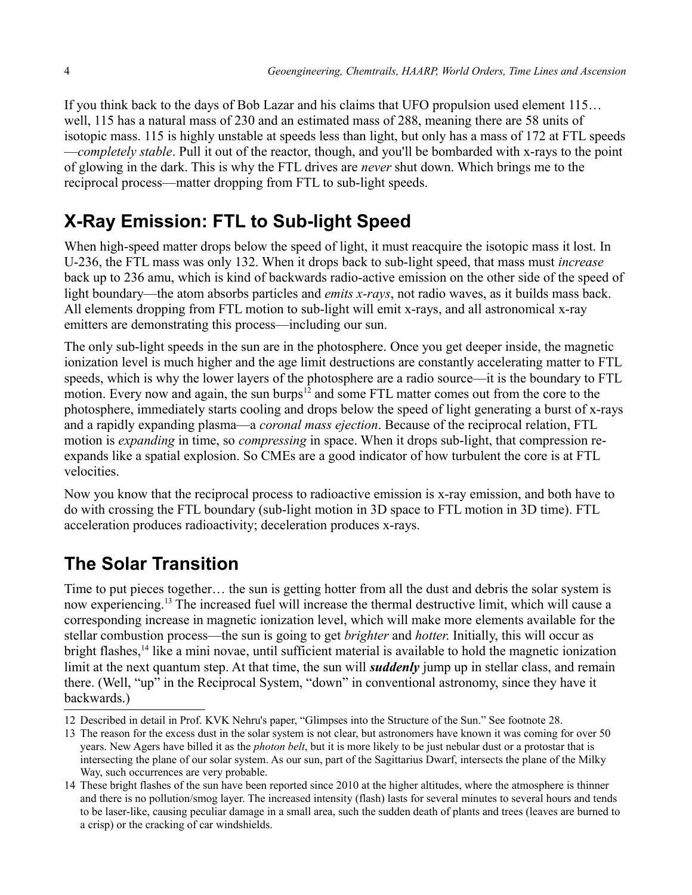If you think back to the days of Bob Lazar and his claims that UFO propulsion used element 115… well, 115 has a natural mass of 230 and an estimated mass of 288, meaning there are 58 units of isotopic mass. 115 is highly unstable at speeds less than light, but only has a mass of 172 at FTL speeds —*completely stable*. Pull it out of the reactor, though, and you'll be bombarded with x-rays to the point of glowing in the dark. This is why the FTL drives are *never* shut down. Which brings me to the reciprocal process—matter dropping from FTL to sub-light speeds.

# **X-Ray Emission: FTL to Sub-light Speed**

When high-speed matter drops below the speed of light, it must reacquire the isotopic mass it lost. In U-236, the FTL mass was only 132. When it drops back to sub-light speed, that mass must *increase* back up to 236 amu, which is kind of backwards radio-active emission on the other side of the speed of light boundary—the atom absorbs particles and *emits x-rays*, not radio waves, as it builds mass back. All elements dropping from FTL motion to sub-light will emit x-rays, and all astronomical x-ray emitters are demonstrating this process—including our sun.

The only sub-light speeds in the sun are in the photosphere. Once you get deeper inside, the magnetic ionization level is much higher and the age limit destructions are constantly accelerating matter to FTL speeds, which is why the lower layers of the photosphere are a radio source—it is the boundary to FTL motion. Every now and again, the sun burps<sup>[12](#page-3-0)</sup> and some FTL matter comes out from the core to the photosphere, immediately starts cooling and drops below the speed of light generating a burst of x-rays and a rapidly expanding plasma—a *coronal mass ejection*. Because of the reciprocal relation, FTL motion is *expanding* in time, so *compressing* in space. When it drops sub-light, that compression reexpands like a spatial explosion. So CMEs are a good indicator of how turbulent the core is at FTL velocities.

Now you know that the reciprocal process to radioactive emission is x-ray emission, and both have to do with crossing the FTL boundary (sub-light motion in 3D space to FTL motion in 3D time). FTL acceleration produces radioactivity; deceleration produces x-rays.

# **The Solar Transition**

Time to put pieces together… the sun is getting hotter from all the dust and debris the solar system is now experiencing.<sup>[13](#page-3-1)</sup> The increased fuel will increase the thermal destructive limit, which will cause a corresponding increase in magnetic ionization level, which will make more elements available for the stellar combustion process—the sun is going to get *brighter* and *hotter*. Initially, this will occur as bright flashes,<sup>[14](#page-3-2)</sup> like a mini novae, until sufficient material is available to hold the magnetic ionization limit at the next quantum step. At that time, the sun will *suddenly* jump up in stellar class, and remain there. (Well, "up" in the Reciprocal System, "down" in conventional astronomy, since they have it backwards.)

<span id="page-3-0"></span><sup>12</sup> Described in detail in Prof. KVK Nehru's paper, "Glimpses into the Structure of the Sun." See footnote [28.](#page-6-0)

<span id="page-3-1"></span><sup>13</sup> The reason for the excess dust in the solar system is not clear, but astronomers have known it was coming for over 50 years. New Agers have billed it as the *photon belt*, but it is more likely to be just nebular dust or a protostar that is intersecting the plane of our solar system. As our sun, part of the Sagittarius Dwarf, intersects the plane of the Milky Way, such occurrences are very probable.

<span id="page-3-2"></span><sup>14</sup> These bright flashes of the sun have been reported since 2010 at the higher altitudes, where the atmosphere is thinner and there is no pollution/smog layer. The increased intensity (flash) lasts for several minutes to several hours and tends to be laser-like, causing peculiar damage in a small area, such the sudden death of plants and trees (leaves are burned to a crisp) or the cracking of car windshields.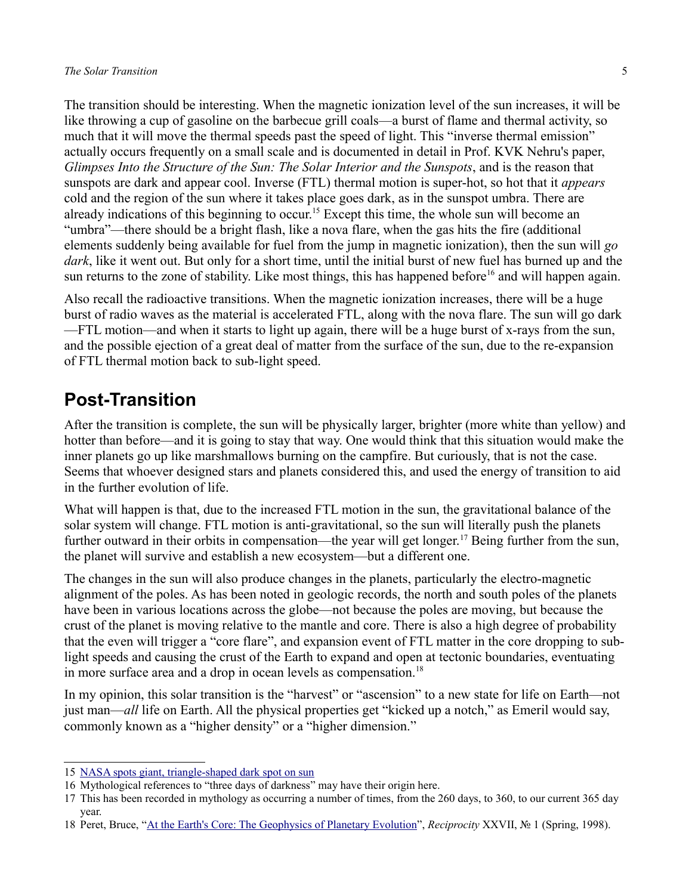The transition should be interesting. When the magnetic ionization level of the sun increases, it will be like throwing a cup of gasoline on the barbecue grill coals—a burst of flame and thermal activity, so much that it will move the thermal speeds past the speed of light. This "inverse thermal emission" actually occurs frequently on a small scale and is documented in detail in Prof. KVK Nehru's paper, *Glimpses Into the Structure of the Sun: The Solar Interior and the Sunspots*, and is the reason that sunspots are dark and appear cool. Inverse (FTL) thermal motion is super-hot, so hot that it *appears* cold and the region of the sun where it takes place goes dark, as in the sunspot umbra. There are already indications of this beginning to occur.<sup>[15](#page-4-0)</sup> Except this time, the whole sun will become an "umbra"—there should be a bright flash, like a nova flare, when the gas hits the fire (additional elements suddenly being available for fuel from the jump in magnetic ionization), then the sun will *go dark*, like it went out. But only for a short time, until the initial burst of new fuel has burned up and the sun returns to the zone of stability. Like most things, this has happened before<sup>[16](#page-4-1)</sup> and will happen again.

Also recall the radioactive transitions. When the magnetic ionization increases, there will be a huge burst of radio waves as the material is accelerated FTL, along with the nova flare. The sun will go dark —FTL motion—and when it starts to light up again, there will be a huge burst of x-rays from the sun, and the possible ejection of a great deal of matter from the surface of the sun, due to the re-expansion of FTL thermal motion back to sub-light speed.

#### **Post-Transition**

After the transition is complete, the sun will be physically larger, brighter (more white than yellow) and hotter than before—and it is going to stay that way. One would think that this situation would make the inner planets go up like marshmallows burning on the campfire. But curiously, that is not the case. Seems that whoever designed stars and planets considered this, and used the energy of transition to aid in the further evolution of life.

What will happen is that, due to the increased FTL motion in the sun, the gravitational balance of the solar system will change. FTL motion is anti-gravitational, so the sun will literally push the planets further outward in their orbits in compensation—the year will get longer.<sup>[17](#page-4-2)</sup> Being further from the sun, the planet will survive and establish a new ecosystem—but a different one.

The changes in the sun will also produce changes in the planets, particularly the electro-magnetic alignment of the poles. As has been noted in geologic records, the north and south poles of the planets have been in various locations across the globe—not because the poles are moving, but because the crust of the planet is moving relative to the mantle and core. There is also a high degree of probability that the even will trigger a "core flare", and expansion event of FTL matter in the core dropping to sublight speeds and causing the crust of the Earth to expand and open at tectonic boundaries, eventuating in more surface area and a drop in ocean levels as compensation.<sup>[18](#page-4-3)</sup>

In my opinion, this solar transition is the "harvest" or "ascension" to a new state for life on Earth—not just man—*all* life on Earth. All the physical properties get "kicked up a notch," as Emeril would say, commonly known as a "higher density" or a "higher dimension."

<span id="page-4-0"></span><sup>15</sup> [NASA spots giant, triangle-shaped dark spot on sun](http://www.ufo-blogger.com/2012/03/nasa-spotted-gigantic-triangle-shaped.html)

<span id="page-4-1"></span><sup>16</sup> Mythological references to "three days of darkness" may have their origin here.

<span id="page-4-2"></span><sup>17</sup> This has been recorded in mythology as occurring a number of times, from the 260 days, to 360, to our current 365 day year.

<span id="page-4-3"></span><sup>18</sup> Peret, Bruce, ["At the Earth's Core: The Geophysics of Planetary Evolution"](http://reciprocalsystem.org/PDFa/At%20the%20Earth), *Reciprocity* XXVII, № 1 (Spring, 1998).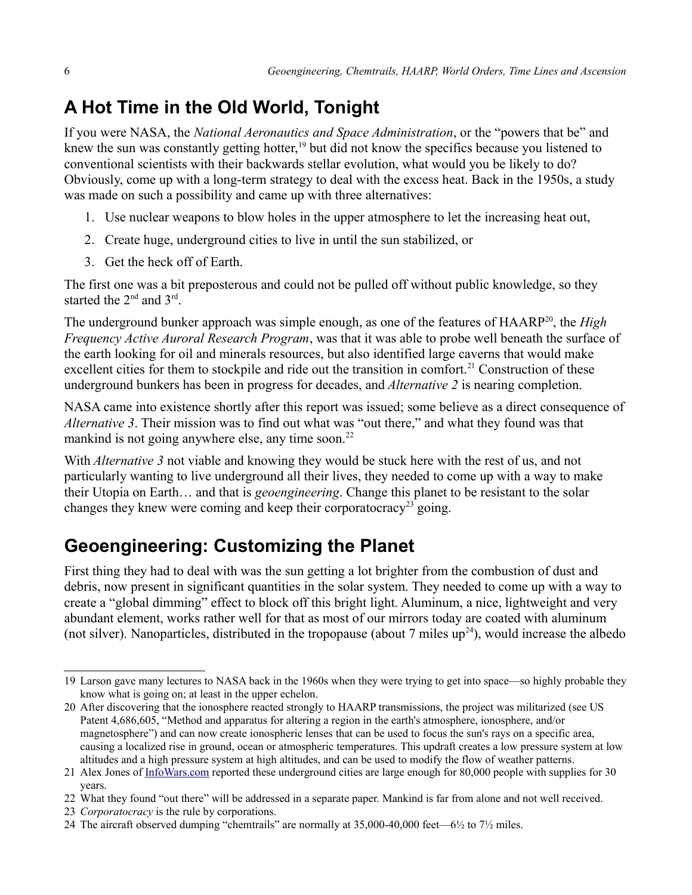# **A Hot Time in the Old World, Tonight**

If you were NASA, the *National Aeronautics and Space Administration*, or the "powers that be" and knew the sun was constantly getting hotter,<sup>[19](#page-5-0)</sup> but did not know the specifics because you listened to conventional scientists with their backwards stellar evolution, what would you be likely to do? Obviously, come up with a long-term strategy to deal with the excess heat. Back in the 1950s, a study was made on such a possibility and came up with three alternatives:

- 1. Use nuclear weapons to blow holes in the upper atmosphere to let the increasing heat out,
- 2. Create huge, underground cities to live in until the sun stabilized, or
- 3. Get the heck off of Earth.

The first one was a bit preposterous and could not be pulled off without public knowledge, so they started the  $2<sup>nd</sup>$  and  $3<sup>rd</sup>$ .

The underground bunker approach was simple enough, as one of the features of HAARP<sup>[20](#page-5-1)</sup>, the *High Frequency Active Auroral Research Program*, was that it was able to probe well beneath the surface of the earth looking for oil and minerals resources, but also identified large caverns that would make excellent cities for them to stockpile and ride out the transition in comfort.<sup>[21](#page-5-2)</sup> Construction of these underground bunkers has been in progress for decades, and *Alternative 2* is nearing completion.

NASA came into existence shortly after this report was issued; some believe as a direct consequence of *Alternative 3*. Their mission was to find out what was "out there," and what they found was that mankind is not going anywhere else, any time soon.<sup>[22](#page-5-3)</sup>

With *Alternative 3* not viable and knowing they would be stuck here with the rest of us, and not particularly wanting to live underground all their lives, they needed to come up with a way to make their Utopia on Earth… and that is *geoengineering*. Change this planet to be resistant to the solar changes they knew were coming and keep their corporatocracy<sup>[23](#page-5-4)</sup> going.

## **Geoengineering: Customizing the Planet**

First thing they had to deal with was the sun getting a lot brighter from the combustion of dust and debris, now present in significant quantities in the solar system. They needed to come up with a way to create a "global dimming" effect to block off this bright light. Aluminum, a nice, lightweight and very abundant element, works rather well for that as most of our mirrors today are coated with aluminum (not silver). Nanoparticles, distributed in the tropopause (about  $7$  miles up<sup>[24](#page-5-5)</sup>), would increase the albedo

<span id="page-5-0"></span><sup>19</sup> Larson gave many lectures to NASA back in the 1960s when they were trying to get into space—so highly probable they know what is going on; at least in the upper echelon.

<span id="page-5-1"></span><sup>20</sup> After discovering that the ionosphere reacted strongly to HAARP transmissions, the project was militarized (see US Patent 4,686,605, "Method and apparatus for altering a region in the earth's atmosphere, ionosphere, and/or magnetosphere") and can now create ionospheric lenses that can be used to focus the sun's rays on a specific area, causing a localized rise in ground, ocean or atmospheric temperatures. This updraft creates a low pressure system at low altitudes and a high pressure system at high altitudes, and can be used to modify the flow of weather patterns.

<span id="page-5-2"></span><sup>21</sup> Alex Jones of [InfoWars.com](http://infowars.com/) reported these underground cities are large enough for 80,000 people with supplies for 30 years.

<span id="page-5-3"></span><sup>22</sup> What they found "out there" will be addressed in a separate paper. Mankind is far from alone and not well received.

<span id="page-5-4"></span><sup>23</sup> *Corporatocracy* is the rule by corporations.

<span id="page-5-5"></span><sup>24</sup> The aircraft observed dumping "chemtrails" are normally at 35,000-40,000 feet—6½ to 7½ miles.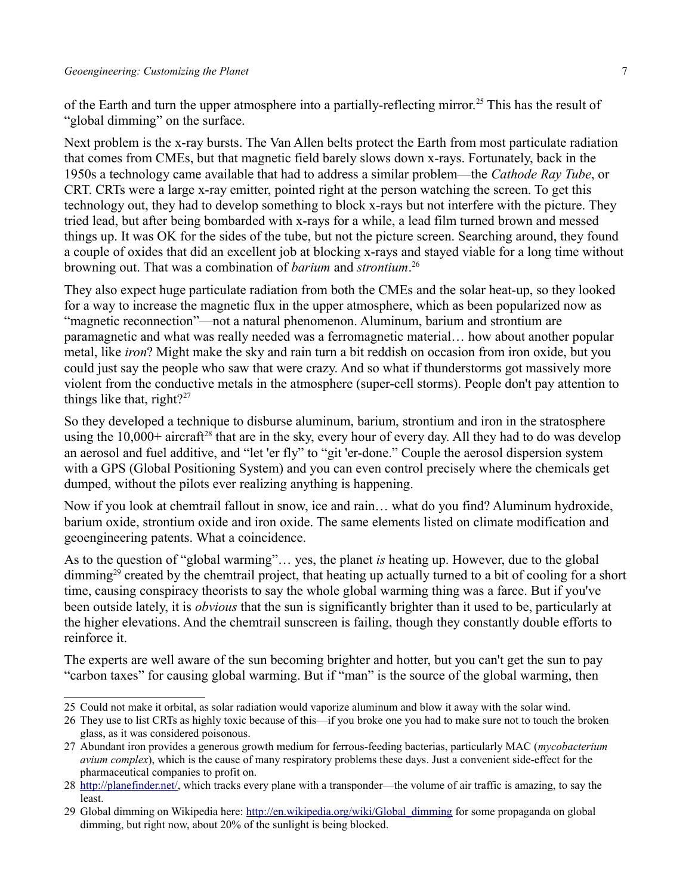of the Earth and turn the upper atmosphere into a partially-reflecting mirror.<sup>[25](#page-6-1)</sup> This has the result of "global dimming" on the surface.

Next problem is the x-ray bursts. The Van Allen belts protect the Earth from most particulate radiation that comes from CMEs, but that magnetic field barely slows down x-rays. Fortunately, back in the 1950s a technology came available that had to address a similar problem—the *Cathode Ray Tube*, or CRT. CRTs were a large x-ray emitter, pointed right at the person watching the screen. To get this technology out, they had to develop something to block x-rays but not interfere with the picture. They tried lead, but after being bombarded with x-rays for a while, a lead film turned brown and messed things up. It was OK for the sides of the tube, but not the picture screen. Searching around, they found a couple of oxides that did an excellent job at blocking x-rays and stayed viable for a long time without browning out. That was a combination of *barium* and *strontium*. [26](#page-6-2)

They also expect huge particulate radiation from both the CMEs and the solar heat-up, so they looked for a way to increase the magnetic flux in the upper atmosphere, which as been popularized now as "magnetic reconnection"—not a natural phenomenon. Aluminum, barium and strontium are paramagnetic and what was really needed was a ferromagnetic material… how about another popular metal, like *iron*? Might make the sky and rain turn a bit reddish on occasion from iron oxide, but you could just say the people who saw that were crazy. And so what if thunderstorms got massively more violent from the conductive metals in the atmosphere (super-cell storms). People don't pay attention to things like that, right? $27$ 

So they developed a technique to disburse aluminum, barium, strontium and iron in the stratosphere using the  $10,000+$  aircraft<sup>[28](#page-6-0)</sup> that are in the sky, every hour of every day. All they had to do was develop an aerosol and fuel additive, and "let 'er fly" to "git 'er-done." Couple the aerosol dispersion system with a GPS (Global Positioning System) and you can even control precisely where the chemicals get dumped, without the pilots ever realizing anything is happening.

Now if you look at chemtrail fallout in snow, ice and rain… what do you find? Aluminum hydroxide, barium oxide, strontium oxide and iron oxide. The same elements listed on climate modification and geoengineering patents. What a coincidence.

As to the question of "global warming"… yes, the planet *is* heating up. However, due to the global dimming<sup>[29](#page-6-4)</sup> created by the chemtrail project, that heating up actually turned to a bit of cooling for a short time, causing conspiracy theorists to say the whole global warming thing was a farce. But if you've been outside lately, it is *obvious* that the sun is significantly brighter than it used to be, particularly at the higher elevations. And the chemtrail sunscreen is failing, though they constantly double efforts to reinforce it.

The experts are well aware of the sun becoming brighter and hotter, but you can't get the sun to pay "carbon taxes" for causing global warming. But if "man" is the source of the global warming, then

<span id="page-6-1"></span><sup>25</sup> Could not make it orbital, as solar radiation would vaporize aluminum and blow it away with the solar wind.

<span id="page-6-2"></span><sup>26</sup> They use to list CRTs as highly toxic because of this—if you broke one you had to make sure not to touch the broken glass, as it was considered poisonous.

<span id="page-6-3"></span><sup>27</sup> Abundant iron provides a generous growth medium for ferrous-feeding bacterias, particularly MAC (*mycobacterium avium complex*), which is the cause of many respiratory problems these days. Just a convenient side-effect for the pharmaceutical companies to profit on.

<span id="page-6-0"></span><sup>28</sup> [http://planefinder.net/,](http://planefinder.net/) which tracks every plane with a transponder—the volume of air traffic is amazing, to say the least.

<span id="page-6-4"></span><sup>29</sup> Global dimming on Wikipedia here: [http://en.wikipedia.org/wiki/Global\\_dimming](http://en.wikipedia.org/wiki/Global_dimming) for some propaganda on global dimming, but right now, about 20% of the sunlight is being blocked.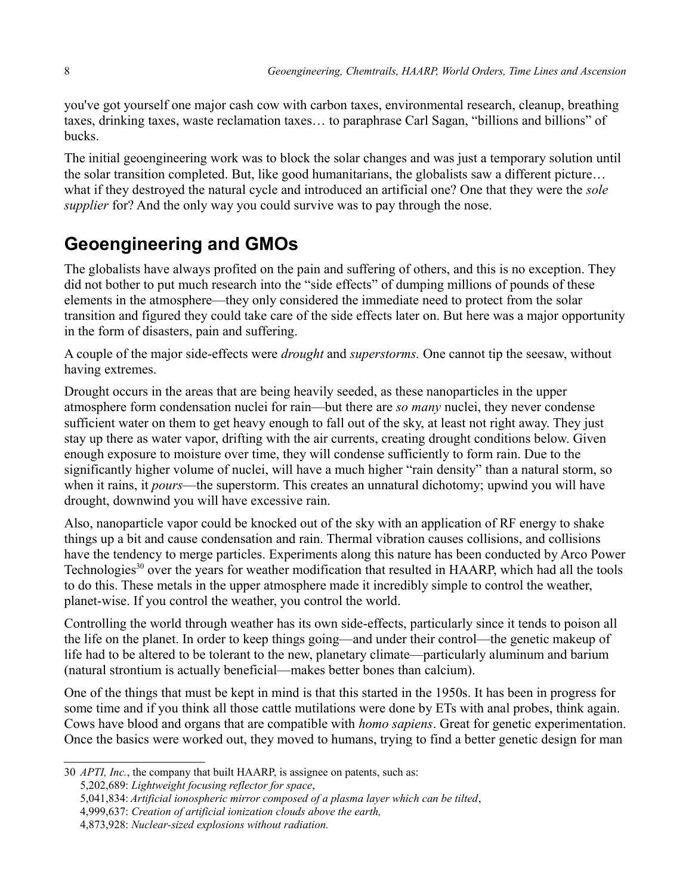you've got yourself one major cash cow with carbon taxes, environmental research, cleanup, breathing taxes, drinking taxes, waste reclamation taxes… to paraphrase Carl Sagan, "billions and billions" of bucks.

The initial geoengineering work was to block the solar changes and was just a temporary solution until the solar transition completed. But, like good humanitarians, the globalists saw a different picture… what if they destroyed the natural cycle and introduced an artificial one? One that they were the *sole supplier* for? And the only way you could survive was to pay through the nose.

## **Geoengineering and GMOs**

The globalists have always profited on the pain and suffering of others, and this is no exception. They did not bother to put much research into the "side effects" of dumping millions of pounds of these elements in the atmosphere—they only considered the immediate need to protect from the solar transition and figured they could take care of the side effects later on. But here was a major opportunity in the form of disasters, pain and suffering.

A couple of the major side-effects were *drought* and *superstorms.* One cannot tip the seesaw, without having extremes.

Drought occurs in the areas that are being heavily seeded, as these nanoparticles in the upper atmosphere form condensation nuclei for rain—but there are *so many* nuclei, they never condense sufficient water on them to get heavy enough to fall out of the sky, at least not right away. They just stay up there as water vapor, drifting with the air currents, creating drought conditions below. Given enough exposure to moisture over time, they will condense sufficiently to form rain. Due to the significantly higher volume of nuclei, will have a much higher "rain density" than a natural storm, so when it rains, it *pours*—the superstorm. This creates an unnatural dichotomy; upwind you will have drought, downwind you will have excessive rain.

Also, nanoparticle vapor could be knocked out of the sky with an application of RF energy to shake things up a bit and cause condensation and rain. Thermal vibration causes collisions, and collisions have the tendency to merge particles. Experiments along this nature has been conducted by Arco Power Technologies<sup>[30](#page-7-0)</sup> over the years for weather modification that resulted in HAARP, which had all the tools to do this. These metals in the upper atmosphere made it incredibly simple to control the weather, planet-wise. If you control the weather, you control the world.

Controlling the world through weather has its own side-effects, particularly since it tends to poison all the life on the planet. In order to keep things going—and under their control—the genetic makeup of life had to be altered to be tolerant to the new, planetary climate—particularly aluminum and barium (natural strontium is actually beneficial—makes better bones than calcium).

One of the things that must be kept in mind is that this started in the 1950s. It has been in progress for some time and if you think all those cattle mutilations were done by ETs with anal probes, think again. Cows have blood and organs that are compatible with *homo sapiens*. Great for genetic experimentation. Once the basics were worked out, they moved to humans, trying to find a better genetic design for man

<sup>30</sup> *APTI, Inc.*, the company that built HAARP, is assignee on patents, such as:

<span id="page-7-0"></span><sup>5,202,689:</sup> *Lightweight focusing reflector for space*,

<sup>5,041,834:</sup> *Artificial ionospheric mirror composed of a plasma layer which can be tilted*,

<sup>4,999,637:</sup> *Creation of artificial ionization clouds above the earth,*

<sup>4,873,928:</sup> *Nuclear-sized explosions without radiation.*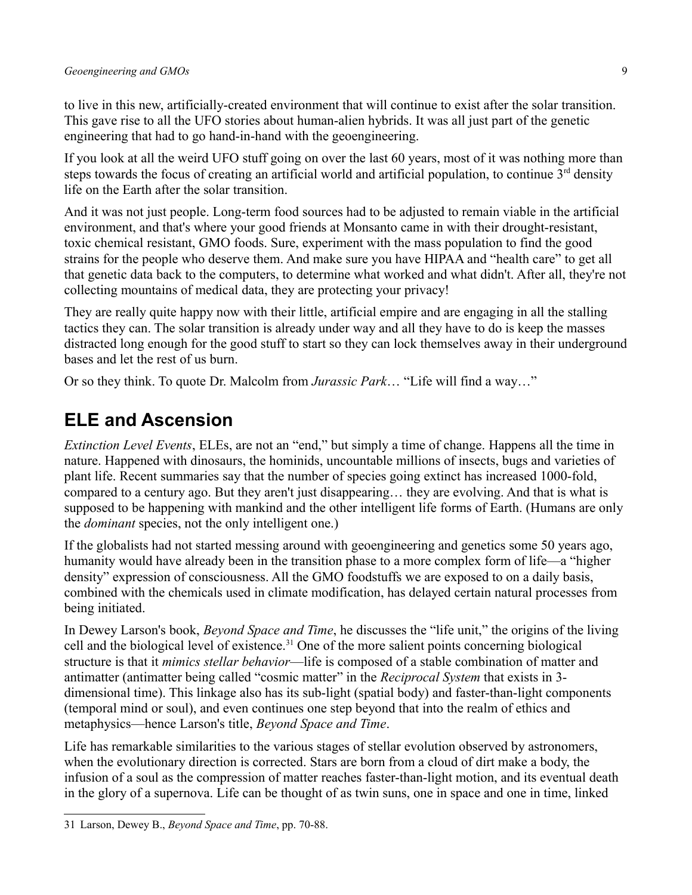to live in this new, artificially-created environment that will continue to exist after the solar transition. This gave rise to all the UFO stories about human-alien hybrids. It was all just part of the genetic engineering that had to go hand-in-hand with the geoengineering.

If you look at all the weird UFO stuff going on over the last 60 years, most of it was nothing more than steps towards the focus of creating an artificial world and artificial population, to continue  $3^{rd}$  density life on the Earth after the solar transition.

And it was not just people. Long-term food sources had to be adjusted to remain viable in the artificial environment, and that's where your good friends at Monsanto came in with their drought-resistant, toxic chemical resistant, GMO foods. Sure, experiment with the mass population to find the good strains for the people who deserve them. And make sure you have HIPAA and "health care" to get all that genetic data back to the computers, to determine what worked and what didn't. After all, they're not collecting mountains of medical data, they are protecting your privacy!

They are really quite happy now with their little, artificial empire and are engaging in all the stalling tactics they can. The solar transition is already under way and all they have to do is keep the masses distracted long enough for the good stuff to start so they can lock themselves away in their underground bases and let the rest of us burn.

Or so they think. To quote Dr. Malcolm from *Jurassic Park*… "Life will find a way…"

#### **ELE and Ascension**

*Extinction Level Events*, ELEs, are not an "end," but simply a time of change. Happens all the time in nature. Happened with dinosaurs, the hominids, uncountable millions of insects, bugs and varieties of plant life. Recent summaries say that the number of species going extinct has increased 1000-fold, compared to a century ago. But they aren't just disappearing… they are evolving. And that is what is supposed to be happening with mankind and the other intelligent life forms of Earth. (Humans are only the *dominant* species, not the only intelligent one.)

If the globalists had not started messing around with geoengineering and genetics some 50 years ago, humanity would have already been in the transition phase to a more complex form of life—a "higher density" expression of consciousness. All the GMO foodstuffs we are exposed to on a daily basis, combined with the chemicals used in climate modification, has delayed certain natural processes from being initiated.

In Dewey Larson's book, *Beyond Space and Time*, he discusses the "life unit," the origins of the living cell and the biological level of existence.<sup>[31](#page-8-0)</sup> One of the more salient points concerning biological structure is that it *mimics stellar behavior*—life is composed of a stable combination of matter and antimatter (antimatter being called "cosmic matter" in the *Reciprocal System* that exists in 3 dimensional time). This linkage also has its sub-light (spatial body) and faster-than-light components (temporal mind or soul), and even continues one step beyond that into the realm of ethics and metaphysics—hence Larson's title, *Beyond Space and Time*.

Life has remarkable similarities to the various stages of stellar evolution observed by astronomers, when the evolutionary direction is corrected. Stars are born from a cloud of dirt make a body, the infusion of a soul as the compression of matter reaches faster-than-light motion, and its eventual death in the glory of a supernova. Life can be thought of as twin suns, one in space and one in time, linked

<span id="page-8-0"></span><sup>31</sup> Larson, Dewey B., *Beyond Space and Time*, pp. 70-88.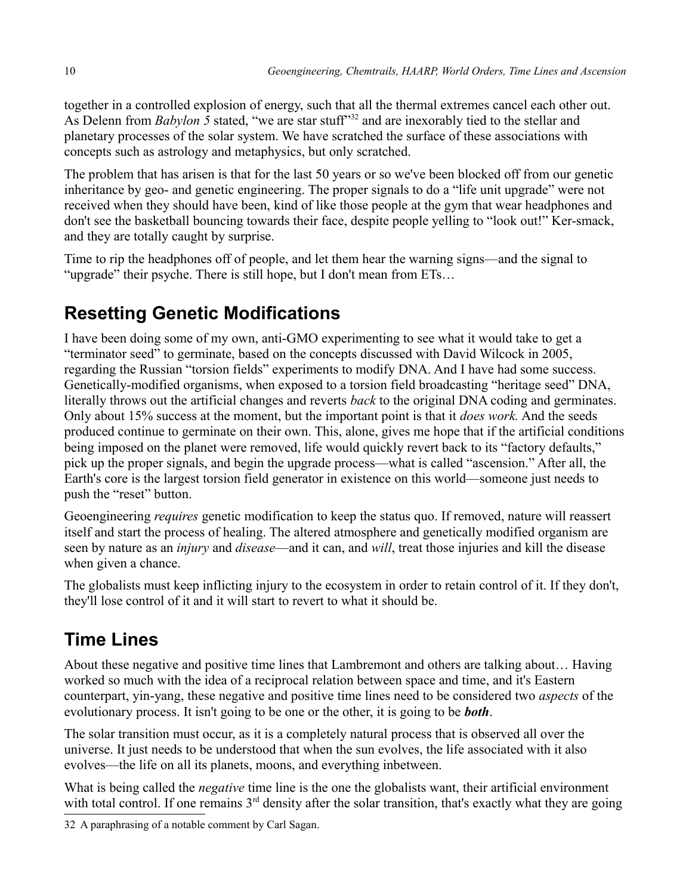together in a controlled explosion of energy, such that all the thermal extremes cancel each other out. As Delenn from *Babylon* 5 stated, "we are star stuff"<sup>[32](#page-9-0)</sup> and are inexorably tied to the stellar and planetary processes of the solar system. We have scratched the surface of these associations with concepts such as astrology and metaphysics, but only scratched.

The problem that has arisen is that for the last 50 years or so we've been blocked off from our genetic inheritance by geo- and genetic engineering. The proper signals to do a "life unit upgrade" were not received when they should have been, kind of like those people at the gym that wear headphones and don't see the basketball bouncing towards their face, despite people yelling to "look out!" Ker-smack, and they are totally caught by surprise.

Time to rip the headphones off of people, and let them hear the warning signs—and the signal to "upgrade" their psyche. There is still hope, but I don't mean from ETs…

# **Resetting Genetic Modifications**

I have been doing some of my own, anti-GMO experimenting to see what it would take to get a "terminator seed" to germinate, based on the concepts discussed with David Wilcock in 2005, regarding the Russian "torsion fields" experiments to modify DNA. And I have had some success. Genetically-modified organisms, when exposed to a torsion field broadcasting "heritage seed" DNA, literally throws out the artificial changes and reverts *back* to the original DNA coding and germinates. Only about 15% success at the moment, but the important point is that it *does work.* And the seeds produced continue to germinate on their own. This, alone, gives me hope that if the artificial conditions being imposed on the planet were removed, life would quickly revert back to its "factory defaults," pick up the proper signals, and begin the upgrade process—what is called "ascension." After all, the Earth's core is the largest torsion field generator in existence on this world—someone just needs to push the "reset" button.

Geoengineering *requires* genetic modification to keep the status quo. If removed, nature will reassert itself and start the process of healing. The altered atmosphere and genetically modified organism are seen by nature as an *injury* and *disease*—and it can, and *will*, treat those injuries and kill the disease when given a chance.

The globalists must keep inflicting injury to the ecosystem in order to retain control of it. If they don't, they'll lose control of it and it will start to revert to what it should be.

## **Time Lines**

About these negative and positive time lines that Lambremont and others are talking about… Having worked so much with the idea of a reciprocal relation between space and time, and it's Eastern counterpart, yin-yang, these negative and positive time lines need to be considered two *aspects* of the evolutionary process. It isn't going to be one or the other, it is going to be *both*.

The solar transition must occur, as it is a completely natural process that is observed all over the universe. It just needs to be understood that when the sun evolves, the life associated with it also evolves—the life on all its planets, moons, and everything inbetween.

What is being called the *negative* time line is the one the globalists want, their artificial environment with total control. If one remains  $3<sup>rd</sup>$  density after the solar transition, that's exactly what they are going

<span id="page-9-0"></span>32 A paraphrasing of a notable comment by Carl Sagan.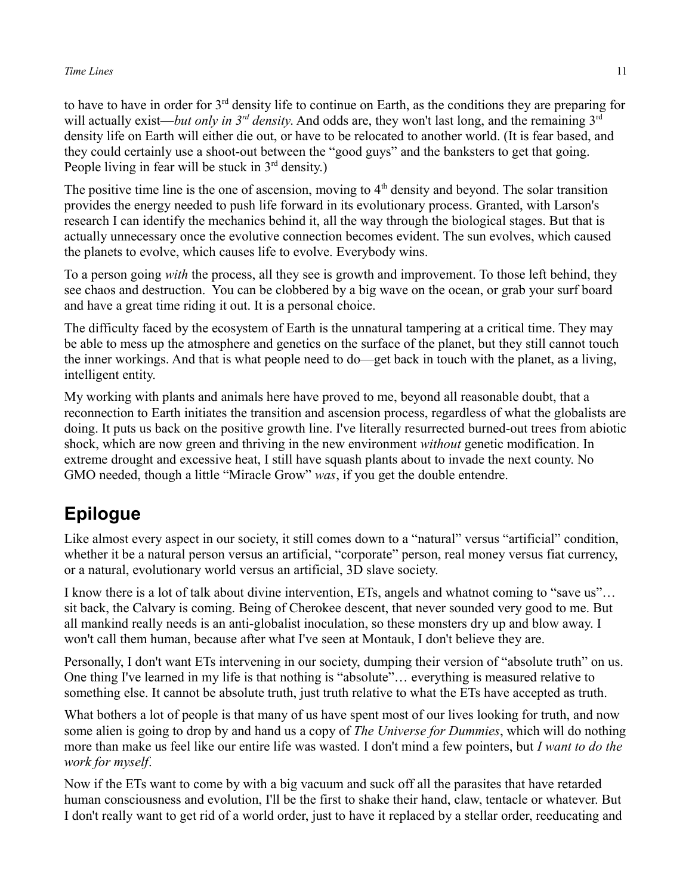#### *Time Lines* 11

to have to have in order for 3rd density life to continue on Earth, as the conditions they are preparing for will actually exist—*but only in 3<sup>rd</sup> density*. And odds are, they won't last long, and the remaining 3<sup>rd</sup> density life on Earth will either die out, or have to be relocated to another world. (It is fear based, and they could certainly use a shoot-out between the "good guys" and the banksters to get that going. People living in fear will be stuck in  $3<sup>rd</sup>$  density.)

The positive time line is the one of ascension, moving to  $4<sup>th</sup>$  density and beyond. The solar transition provides the energy needed to push life forward in its evolutionary process. Granted, with Larson's research I can identify the mechanics behind it, all the way through the biological stages. But that is actually unnecessary once the evolutive connection becomes evident. The sun evolves, which caused the planets to evolve, which causes life to evolve. Everybody wins.

To a person going *with* the process, all they see is growth and improvement. To those left behind, they see chaos and destruction. You can be clobbered by a big wave on the ocean, or grab your surf board and have a great time riding it out. It is a personal choice.

The difficulty faced by the ecosystem of Earth is the unnatural tampering at a critical time. They may be able to mess up the atmosphere and genetics on the surface of the planet, but they still cannot touch the inner workings. And that is what people need to do—get back in touch with the planet, as a living, intelligent entity.

My working with plants and animals here have proved to me, beyond all reasonable doubt, that a reconnection to Earth initiates the transition and ascension process, regardless of what the globalists are doing. It puts us back on the positive growth line. I've literally resurrected burned-out trees from abiotic shock, which are now green and thriving in the new environment *without* genetic modification. In extreme drought and excessive heat, I still have squash plants about to invade the next county. No GMO needed, though a little "Miracle Grow" *was*, if you get the double entendre.

## **Epilogue**

Like almost every aspect in our society, it still comes down to a "natural" versus "artificial" condition, whether it be a natural person versus an artificial, "corporate" person, real money versus fiat currency, or a natural, evolutionary world versus an artificial, 3D slave society.

I know there is a lot of talk about divine intervention, ETs, angels and whatnot coming to "save us"… sit back, the Calvary is coming. Being of Cherokee descent, that never sounded very good to me. But all mankind really needs is an anti-globalist inoculation, so these monsters dry up and blow away. I won't call them human, because after what I've seen at Montauk, I don't believe they are.

Personally, I don't want ETs intervening in our society, dumping their version of "absolute truth" on us. One thing I've learned in my life is that nothing is "absolute"… everything is measured relative to something else. It cannot be absolute truth, just truth relative to what the ETs have accepted as truth.

What bothers a lot of people is that many of us have spent most of our lives looking for truth, and now some alien is going to drop by and hand us a copy of *The Universe for Dummies*, which will do nothing more than make us feel like our entire life was wasted. I don't mind a few pointers, but *I want to do the work for myself*.

Now if the ETs want to come by with a big vacuum and suck off all the parasites that have retarded human consciousness and evolution, I'll be the first to shake their hand, claw, tentacle or whatever. But I don't really want to get rid of a world order, just to have it replaced by a stellar order, reeducating and